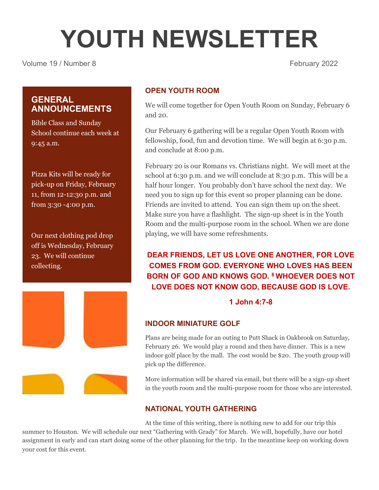# **YOUTH NEWSLETTER**

Volume 19 / Number 8 February 2022

# **GENERAL ANNOUNCEMENTS**

Bible Class and Sunday School continue each week at 9:45 a.m.

Pizza Kits will be ready for pick-up on Friday, February 11, from 12-12:30 p.m. and from 3:30 -4:00 p.m.

Our next clothing pod drop off is Wednesday, February 23. We will continue collecting.



# **OPEN YOUTH ROOM**

We will come together for Open Youth Room on Sunday, February 6 and 20.

Our February 6 gathering will be a regular Open Youth Room with fellowship, food, fun and devotion time. We will begin at 6:30 p.m. and conclude at 8:00 p.m.

February 20 is our Romans vs. Christians night. We will meet at the school at 6:30 p.m. and we will conclude at 8:30 p.m. This will be a half hour longer. You probably don't have school the next day. We need you to sign up for this event so proper planning can be done. Friends are invited to attend. You can sign them up on the sheet. Make sure you have a flashlight. The sign-up sheet is in the Youth Room and the multi-purpose room in the school. When we are done playing, we will have some refreshments.

# **DEAR FRIENDS, LET US LOVE ONE ANOTHER, FOR LOVE COMES FROM GOD. EVERYONE WHO LOVES HAS BEEN BORN OF GOD AND KNOWS GOD. <sup>8</sup> WHOEVER DOES NOT LOVE DOES NOT KNOW GOD, BECAUSE GOD IS LOVE.**

# **1 John 4:7-8**

## **INDOOR MINIATURE GOLF**

Plans are being made for an outing to Putt Shack in Oakbrook on Saturday, February 26. We would play a round and then have dinner. This is a new indoor golf place by the mall. The cost would be \$20. The youth group will pick up the difference.

More information will be shared via email, but there will be a sign-up sheet in the youth room and the multi-purpose room for those who are interested.

## **NATIONAL YOUTH GATHERING**

At the time of this writing, there is nothing new to add for our trip this summer to Houston. We will schedule our next "Gathering with Grady" for March. We will, hopefully, have our hotel assignment in early and can start doing some of the other planning for the trip. In the meantime keep on working down your cost for this event.